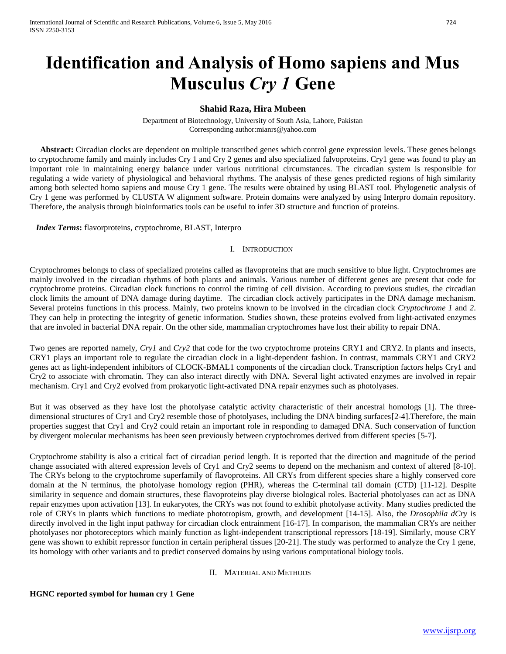# **Identification and Analysis of Homo sapiens and Mus Musculus** *Cry 1* **Gene**

# **Shahid Raza, Hira Mubeen**

Department of Biotechnology, University of South Asia, Lahore, Pakistan Corresponding author:mianrs@yahoo.com

Abstract: Circadian clocks are dependent on multiple transcribed genes which control gene expression levels. These genes belongs to cryptochrome family and mainly includes Cry 1 and Cry 2 genes and also specialized falvoproteins. Cry1 gene was found to play an important role in maintaining energy balance under various nutritional circumstances. The circadian system is responsible for regulating a wide variety of physiological and behavioral rhythms. The analysis of these genes predicted regions of high similarity among both selected homo sapiens and mouse Cry 1 gene. The results were obtained by using BLAST tool. Phylogenetic analysis of Cry 1 gene was performed by CLUSTA W alignment software. Protein domains were analyzed by using Interpro domain repository. Therefore, the analysis through bioinformatics tools can be useful to infer 3D structure and function of proteins.

*Index Terms***:** flavorproteins, cryptochrome, BLAST, Interpro

### I. INTRODUCTION

Cryptochromes belongs to class of specialized proteins called as [flavoproteins](https://en.wikipedia.org/wiki/Flavoproteins) that are much sensitive to blue light. Cryptochromes are mainly involved in the [circadian rhythms](https://en.wikipedia.org/wiki/Circadian_rhythm) of both plants and animals. Various number of different genes are present that code for cryptochrome proteins. Circadian clock functions to control the timing of cell division. According to previous studies, the circadian clock limits the amount of DNA damage during daytime. The circadian clock actively participates in the DNA damage mechanism. Several proteins functions in this process. Mainly, two proteins known to be involved in the circadian clock *Cryptochrome 1* and *2*. They can help in protecting the integrity of genetic information. Studies shown, these proteins evolved from light-activated enzymes that are involed in bacterial DNA repair. On the other side, mammalian cryptochromes have lost their ability to repair DNA.

Two genes are reported namely, *Cry1* and *Cry2* that code for the two cryptochrome [proteins](https://en.wikipedia.org/wiki/Protein) [CRY1](https://en.wikipedia.org/wiki/CRY1) and [CRY2.](https://en.wikipedia.org/wiki/CRY2) In plants and insects, CRY1 plays an important role to regulate the [circadian clock](https://en.wikipedia.org/wiki/Circadian_clock) in a light-dependent fashion. In contrast, [mammals](https://en.wikipedia.org/wiki/Mammals) CRY1 and CRY2 genes act as light-independent inhibitors of [CLOCK](https://en.wikipedia.org/wiki/CLOCK)[-BMAL1](https://en.wikipedia.org/wiki/ARNTL) components of the circadian clock. Transcription factors helps Cry1 and Cry2 to associate with chromatin. They can also interact directly with DNA. Several light activated enzymes are involved in repair mechanism. Cry1 and Cry2 evolved from prokaryotic light-activated DNA repair enzymes such as photolyases.

But it was observed as they have lost the photolyase catalytic activity characteristic of their ancestral homologs [1]. The threedimensional structures of Cry1 and Cry2 resemble those of photolyases, including the DNA binding surfaces[2-4]. Therefore, the main properties suggest that Cry1 and Cry2 could retain an important role in responding to damaged DNA. Such conservation of function by divergent molecular mechanisms has been seen previously between cryptochromes derived from different species [5-7].

Cryptochrome stability is also a critical fact of circadian period length. It is reported that the direction and magnitude of the period change associated with altered expression levels of Cry1 and Cry2 seems to depend on the mechanism and context of altered [8-10]. The CRYs belong to the cryptochrome superfamily of flavoproteins. All CRYs from different species share a highly conserved core domain at the N terminus, the photolyase homology region (PHR), whereas the C-terminal tail domain (CTD) [11-12]. Despite similarity in sequence and domain structures, these flavoproteins play diverse biological roles. Bacterial photolyases can act as DNA repair enzymes upon activation [13]. In eukaryotes, the CRYs was not found to exhibit photolyase activity. Many studies predicted the role of CRYs in plants which functions to mediate phototropism, growth, and development [14-15]. Also, the *Drosophila dCry* is directly involved in the light input pathway for circadian clock entrainment [16-17]. In comparison, the mammalian CRYs are neither photolyases nor photoreceptors which mainly function as light-independent transcriptional repressors [18-19]. Similarly, mouse CRY gene was shown to exhibit repressor function in certain peripheral tissues [20-21]. The study was performed to analyze the Cry 1 gene, its homology with other variants and to predict conserved domains by using various computational biology tools.

### II. MATERIAL AND METHODS

### **HGNC reported symbol for human cry 1 Gene**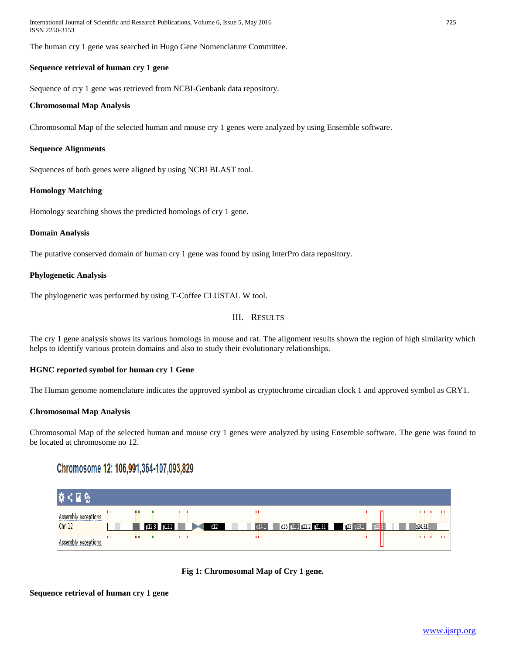International Journal of Scientific and Research Publications, Volume 6, Issue 5, May 2016 725 ISSN 2250-3153

The human cry 1 gene was searched in Hugo Gene Nomenclature Committee.

# **Sequence retrieval of human cry 1 gene**

Sequence of cry 1 gene was retrieved from NCBI-Genbank data repository.

### **Chromosomal Map Analysis**

Chromosomal Map of the selected human and mouse cry 1 genes were analyzed by using Ensemble software.

# **Sequence Alignments**

Sequences of both genes were aligned by using NCBI BLAST tool.

### **Homology Matching**

Homology searching shows the predicted homologs of cry 1 gene.

### **Domain Analysis**

The putative conserved domain of human cry 1 gene was found by using InterPro data repository.

### **Phylogenetic Analysis**

The phylogenetic was performed by using T-Coffee CLUSTAL W tool.

# III. RESULTS

The cry 1 gene analysis shows its various homologs in mouse and rat. The alignment results shown the region of high similarity which helps to identify various protein domains and also to study their evolutionary relationships.

### **HGNC reported symbol for human cry 1 Gene**

The Human genome nomenclature indicates the approved symbol as cryptochrome circadian clock 1 and approved symbol as CRY1.

### **Chromosomal Map Analysis**

Chromosomal Map of the selected human and mouse cry 1 genes were analyzed by using Ensemble software. The gene was found to be located at chromosome no 12.

# Chromosome 12: 106,991,364-107,093,829





# **Sequence retrieval of human cry 1 gene**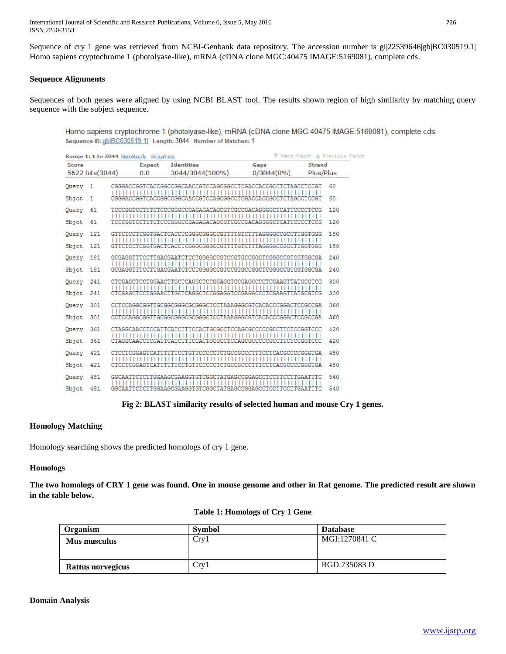International Journal of Scientific and Research Publications, Volume 6, Issue 5, May 2016 726 ISSN 2250-3153

Sequence of cry 1 gene was retrieved from NCBI-Genbank data repository. The accession number is gi|22539646|gb|BC030519.1| Homo sapiens cryptochrome 1 (photolyase-like), mRNA (cDNA clone MGC:40475 IMAGE:5169081), complete cds.

# **Sequence Alignments**

Sequences of both genes were aligned by using NCBI BLAST tool. The results shown region of high similarity by matching query sequence with the subject sequence.

Homo sapiens cryptochrome 1 (photolyase-like), mRNA (cDNA clone MGC:40475 IMAGE:5169081), complete cds Sequence ID: gb|BC030519.1| Length: 3044 Number of Matches: 1

| V Next Match A Previous Matcl<br>Range 1: 1 to 3044 GenBank Graphics |                 |  |               |                                                              |            |               |     |
|----------------------------------------------------------------------|-----------------|--|---------------|--------------------------------------------------------------|------------|---------------|-----|
| <b>Score</b>                                                         |                 |  | <b>Expect</b> | <b>Identities</b>                                            | Gaps       | <b>Strand</b> |     |
|                                                                      | 5622 bits(3044) |  | 0.0           | 3044/3044(100%)                                              | 0/3044(0%) | Plus/Plus     |     |
| Query                                                                | 1               |  |               | CGGGACCGGTCACCGGCCGGCAACCGTCCAGCGGCCTCGACCACCGCCTCTAGCCTCCGT |            |               | 60  |
| Sbjct                                                                | 1               |  |               | CGGGACCGGTCACCGGCCGGCAACCGTCCAGCGGCCTCGACCACCGCCTCTAGCCTCCGT |            |               | 60  |
| Query                                                                | 61              |  |               | TCCCGGTCCTTTCTCCCGGGCCGAGAGACAGCGTCGCCGACAGGGGCTCATTCCCCTCCG |            |               | 120 |
| Sbjct                                                                | 61              |  |               | TCCCGGTCCTTTCTCCCGGGCCGAGAGACAGCGTCGCCGACAGGGGCTCATTCCCCTCCG |            |               | 120 |
| Query                                                                | 121             |  |               | GITCTCCTCGGTGACTCACCTCGGGCGGGCCGTTTTGTCTTTAGGGGCCGCCTTGGTGGG |            |               | 180 |
| Sbjet                                                                | 121             |  |               | GITCTCCTCGGTGACTCACCTCGGGCGGGCCGTTTTGTCTTTAGGGGCCGCCTTGGTGGG |            |               | 180 |
| Query                                                                | 181             |  |               | GCGAGGTTTCCTTGACGAATCTCCTGGGGCCGTCCGTGCCGGCTCGGGCCGTCGTGGCGA |            |               | 240 |
| Sbjct                                                                | 181             |  |               | GCGAGGTTTCCTTGACGAATCTCCTGGGGCCGTCCGTGCCGGCTCGGGCCGTCGTGGCGA |            |               | 240 |
| Query                                                                | 241             |  |               | CTCGAGCTCCTGGAACTTGCTCAGGCTCCGGAGGTCCGAGGCCCTCGAAGTTATGCGTCG |            |               | 300 |
| Sbjct                                                                | 241             |  |               | CTCGAGCTCCTGGAACTTGCTCAGGCTCCGGAGGTCCGAGGCCCTCGAAGTTATGCGTCG |            |               | 300 |
| Query                                                                | 301             |  |               | CCTCCAGGCGGTTGCGGCGGGCGGGGCTCCTAAAGGGCGTCACACCCGGACTCCGCCGA  |            |               | 360 |
| Sbjct                                                                | 301             |  |               | CCTCCAGGCGGTTGCGGCGGGCGCGGGCTCCTAAAGGGCGTCACACCCGGACTCCGCCGA |            |               | 360 |
| Query                                                                | 361             |  |               |                                                              |            |               | 420 |
| Sbjct                                                                | 361             |  |               |                                                              |            |               | 420 |
| Query                                                                | 421             |  |               | CTCCTCGGAGTCATTTTTTCCTGTTCCCCCTCTGCCGCCCTTTCCTCACGCCCCGGGTGA |            |               | 480 |
| Sbjct                                                                | 421             |  |               | CICCICGGAGICATITITICCIGIICCCCCICIGCCGCCCTIICCICACGCCCCGGGIGA |            |               | 480 |
| Query                                                                | 481             |  |               |                                                              |            |               | 540 |
| Sbjct                                                                | 481             |  |               |                                                              |            |               | 540 |

**Fig 2: BLAST similarity results of selected human and mouse Cry 1 genes.**

### **Homology Matching**

Homology searching shows the predicted homologs of cry 1 gene.

#### **Homologs**

**The two homologs of CRY 1 gene was found. One in mouse genome and other in Rat genome. The predicted result are shown in the table below.**

| <b>Organism</b>   | <b>Symbol</b> | <b>Database</b> |
|-------------------|---------------|-----------------|
| Mus musculus      | Cry1          | MGI:1270841 C   |
| Rattus norvegicus | Cry1          | RGD:735083 D    |

|  | <b>Table 1: Homologs of Cry 1 Gene</b> |  |  |  |
|--|----------------------------------------|--|--|--|
|--|----------------------------------------|--|--|--|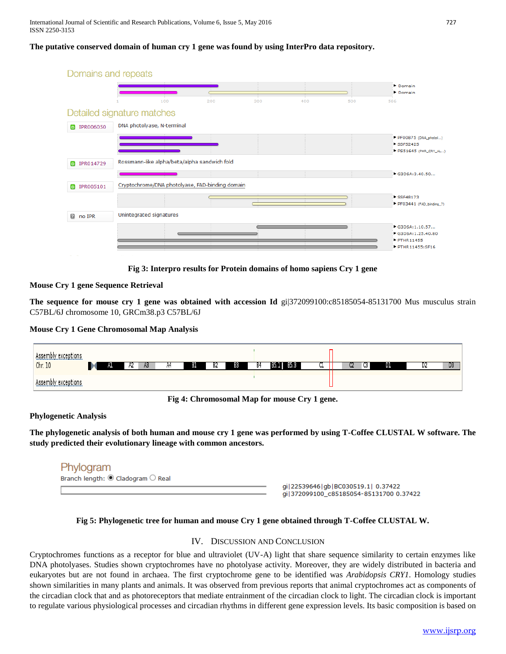# **The putative conserved domain of human cry 1 gene was found by using InterPro data repository.**



**Fig 3: Interpro results for Protein domains of homo sapiens Cry 1 gene**

# **Mouse Cry 1 gene Sequence Retrieval**

**The sequence for mouse cry 1 gene was obtained with accession Id gi|372099100:c85185054-85131700 Mus musculus strain** C57BL/6J chromosome 10, GRCm38.p3 C57BL/6J

### **Mouse Cry 1 Gene Chromosomal Map Analysis**



**Fig 4: Chromosomal Map for mouse Cry 1 gene.**

### **Phylogenetic Analysis**

**The phylogenetic analysis of both human and mouse cry 1 gene was performed by using T-Coffee CLUSTAL W software. The study predicted their evolutionary lineage with common ancestors.**

| Phylogram                                     |                                                     |
|-----------------------------------------------|-----------------------------------------------------|
| Branch length: $\odot$ Cladogram $\odot$ Real |                                                     |
|                                               | qi   22539646   qb   BC03<br>$-1222000100 - 051105$ |

0519.1 0.37422 gi 372099100\_c85185054-85131700 0.37422

# **Fig 5: Phylogenetic tree for human and mouse Cry 1 gene obtained through T-Coffee CLUSTAL W.**

### IV. DISCUSSION AND CONCLUSION

Cryptochromes functions as a receptor for blue and ultraviolet (UV-A) light that share sequence similarity to certain enzymes like DNA photolyases. Studies shown cryptochromes have no photolyase activity. Moreover, they are widely distributed in bacteria and eukaryotes but are not found in archaea. The first cryptochrome gene to be identified was *Arabidopsis CRY1*. Homology studies shown similarities in many plants and animals. It was observed from previous reports that animal cryptochromes act as components of the circadian clock that and as photoreceptors that mediate entrainment of the circadian clock to light. The circadian clock is important to regulate various physiological processes and circadian rhythms in different gene expression levels. Its basic composition is based on